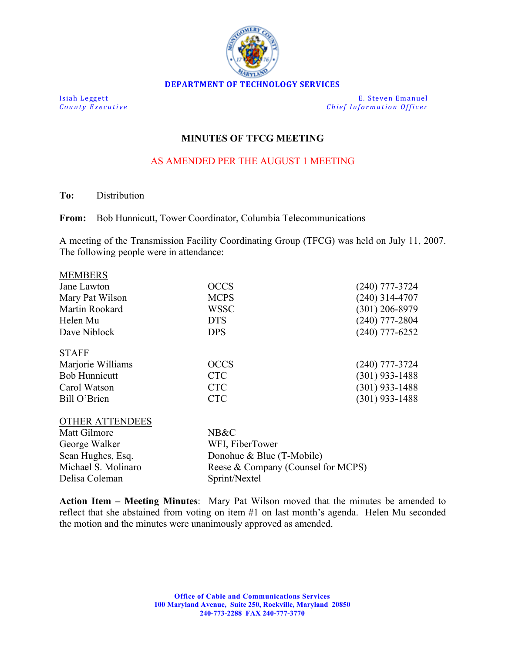

**Isiah Leggett E.** Steven Emanuel **County Executive** *County Executive Chief Information Officer* 

## **MINUTES OF TFCG MEETING**

## AS AMENDED PER THE AUGUST 1 MEETING

**To:** Distribution

**MEMBERS** 

**From:** Bob Hunnicutt, Tower Coordinator, Columbia Telecommunications

A meeting of the Transmission Facility Coordinating Group (TFCG) was held on July 11, 2007. The following people were in attendance:

| <b>IVILIVIDERO</b>   |             |                  |
|----------------------|-------------|------------------|
| Jane Lawton          | <b>OCCS</b> | $(240)$ 777-3724 |
| Mary Pat Wilson      | <b>MCPS</b> | $(240)$ 314-4707 |
| Martin Rookard       | <b>WSSC</b> | $(301)$ 206-8979 |
| Helen Mu             | <b>DTS</b>  | $(240)$ 777-2804 |
| Dave Niblock         | <b>DPS</b>  | $(240)$ 777-6252 |
| <b>STAFF</b>         |             |                  |
| Marjorie Williams    | <b>OCCS</b> | $(240)$ 777-3724 |
| <b>Bob Hunnicutt</b> | <b>CTC</b>  | $(301)$ 933-1488 |
| Carol Watson         | <b>CTC</b>  | $(301)$ 933-1488 |
| Bill O'Brien         | <b>CTC</b>  | $(301)$ 933-1488 |
|                      |             |                  |

| <b>OTHER ATTENDEES</b> |                                    |
|------------------------|------------------------------------|
| Matt Gilmore           | NB&C                               |
| George Walker          | WFI, FiberTower                    |
| Sean Hughes, Esq.      | Donohue & Blue (T-Mobile)          |
| Michael S. Molinaro    | Reese & Company (Counsel for MCPS) |
| Delisa Coleman         | Sprint/Nextel                      |

**Action Item – Meeting Minutes**: Mary Pat Wilson moved that the minutes be amended to reflect that she abstained from voting on item #1 on last month's agenda. Helen Mu seconded the motion and the minutes were unanimously approved as amended.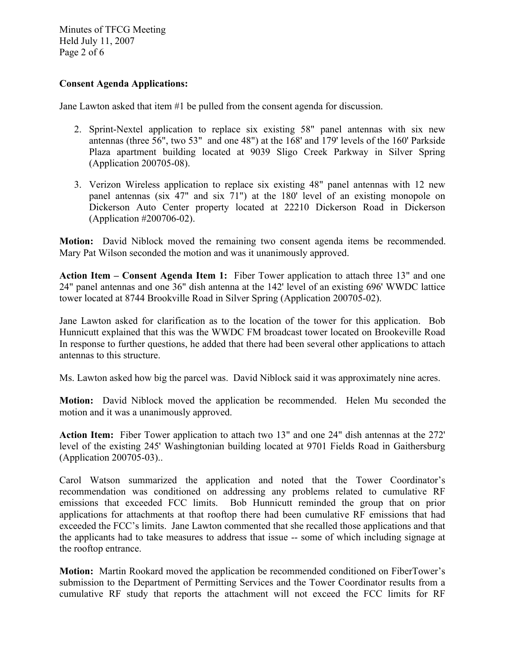Minutes of TFCG Meeting Held July 11, 2007 Page 2 of 6

## **Consent Agenda Applications:**

Jane Lawton asked that item #1 be pulled from the consent agenda for discussion.

- 2. Sprint-Nextel application to replace six existing 58" panel antennas with six new antennas (three 56", two 53" and one 48") at the 168' and 179' levels of the 160' Parkside Plaza apartment building located at 9039 Sligo Creek Parkway in Silver Spring (Application 200705-08).
- 3. Verizon Wireless application to replace six existing 48" panel antennas with 12 new panel antennas (six 47" and six 71") at the 180' level of an existing monopole on Dickerson Auto Center property located at 22210 Dickerson Road in Dickerson (Application #200706-02).

**Motion:** David Niblock moved the remaining two consent agenda items be recommended. Mary Pat Wilson seconded the motion and was it unanimously approved.

**Action Item – Consent Agenda Item 1:** Fiber Tower application to attach three 13" and one 24" panel antennas and one 36" dish antenna at the 142' level of an existing 696' WWDC lattice tower located at 8744 Brookville Road in Silver Spring (Application 200705-02).

Jane Lawton asked for clarification as to the location of the tower for this application. Bob Hunnicutt explained that this was the WWDC FM broadcast tower located on Brookeville Road In response to further questions, he added that there had been several other applications to attach antennas to this structure.

Ms. Lawton asked how big the parcel was. David Niblock said it was approximately nine acres.

**Motion:** David Niblock moved the application be recommended. Helen Mu seconded the motion and it was a unanimously approved.

**Action Item:** Fiber Tower application to attach two 13" and one 24" dish antennas at the 272' level of the existing 245' Washingtonian building located at 9701 Fields Road in Gaithersburg (Application 200705-03)..

Carol Watson summarized the application and noted that the Tower Coordinator's recommendation was conditioned on addressing any problems related to cumulative RF emissions that exceeded FCC limits. Bob Hunnicutt reminded the group that on prior applications for attachments at that rooftop there had been cumulative RF emissions that had exceeded the FCC's limits. Jane Lawton commented that she recalled those applications and that the applicants had to take measures to address that issue -- some of which including signage at the rooftop entrance.

**Motion:** Martin Rookard moved the application be recommended conditioned on FiberTower's submission to the Department of Permitting Services and the Tower Coordinator results from a cumulative RF study that reports the attachment will not exceed the FCC limits for RF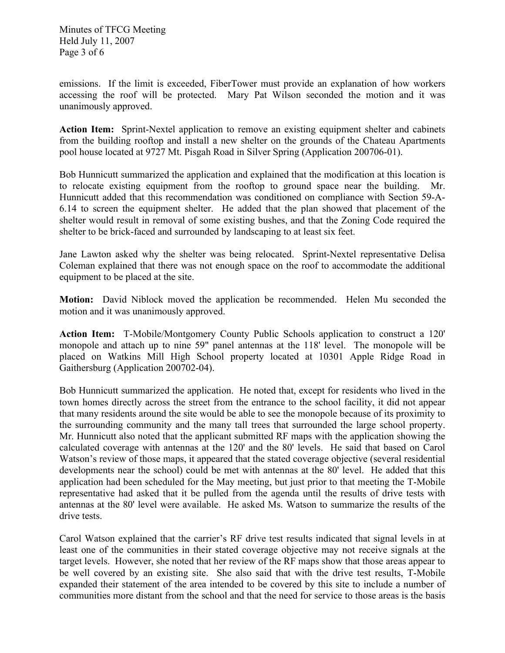Minutes of TFCG Meeting Held July 11, 2007 Page 3 of 6

emissions. If the limit is exceeded, FiberTower must provide an explanation of how workers accessing the roof will be protected. Mary Pat Wilson seconded the motion and it was unanimously approved.

**Action Item:** Sprint-Nextel application to remove an existing equipment shelter and cabinets from the building rooftop and install a new shelter on the grounds of the Chateau Apartments pool house located at 9727 Mt. Pisgah Road in Silver Spring (Application 200706-01).

Bob Hunnicutt summarized the application and explained that the modification at this location is to relocate existing equipment from the rooftop to ground space near the building. Mr. Hunnicutt added that this recommendation was conditioned on compliance with Section 59-A-6.14 to screen the equipment shelter. He added that the plan showed that placement of the shelter would result in removal of some existing bushes, and that the Zoning Code required the shelter to be brick-faced and surrounded by landscaping to at least six feet.

Jane Lawton asked why the shelter was being relocated. Sprint-Nextel representative Delisa Coleman explained that there was not enough space on the roof to accommodate the additional equipment to be placed at the site.

**Motion:** David Niblock moved the application be recommended. Helen Mu seconded the motion and it was unanimously approved.

**Action Item:** T-Mobile/Montgomery County Public Schools application to construct a 120' monopole and attach up to nine 59" panel antennas at the 118' level. The monopole will be placed on Watkins Mill High School property located at 10301 Apple Ridge Road in Gaithersburg (Application 200702-04).

Bob Hunnicutt summarized the application. He noted that, except for residents who lived in the town homes directly across the street from the entrance to the school facility, it did not appear that many residents around the site would be able to see the monopole because of its proximity to the surrounding community and the many tall trees that surrounded the large school property. Mr. Hunnicutt also noted that the applicant submitted RF maps with the application showing the calculated coverage with antennas at the 120' and the 80' levels. He said that based on Carol Watson's review of those maps, it appeared that the stated coverage objective (several residential developments near the school) could be met with antennas at the 80' level. He added that this application had been scheduled for the May meeting, but just prior to that meeting the T-Mobile representative had asked that it be pulled from the agenda until the results of drive tests with antennas at the 80' level were available. He asked Ms. Watson to summarize the results of the drive tests.

Carol Watson explained that the carrier's RF drive test results indicated that signal levels in at least one of the communities in their stated coverage objective may not receive signals at the target levels. However, she noted that her review of the RF maps show that those areas appear to be well covered by an existing site. She also said that with the drive test results, T-Mobile expanded their statement of the area intended to be covered by this site to include a number of communities more distant from the school and that the need for service to those areas is the basis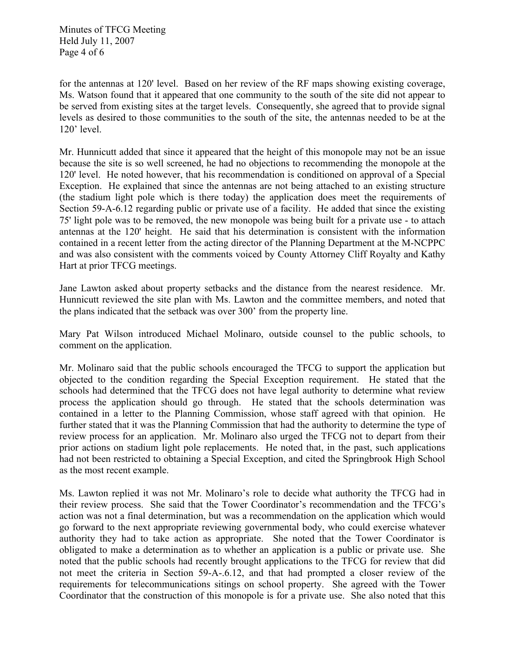Minutes of TFCG Meeting Held July 11, 2007 Page 4 of 6

for the antennas at 120' level. Based on her review of the RF maps showing existing coverage, Ms. Watson found that it appeared that one community to the south of the site did not appear to be served from existing sites at the target levels. Consequently, she agreed that to provide signal levels as desired to those communities to the south of the site, the antennas needed to be at the 120' level.

Mr. Hunnicutt added that since it appeared that the height of this monopole may not be an issue because the site is so well screened, he had no objections to recommending the monopole at the 120' level. He noted however, that his recommendation is conditioned on approval of a Special Exception. He explained that since the antennas are not being attached to an existing structure (the stadium light pole which is there today) the application does meet the requirements of Section 59-A-6.12 regarding public or private use of a facility. He added that since the existing 75' light pole was to be removed, the new monopole was being built for a private use - to attach antennas at the 120' height. He said that his determination is consistent with the information contained in a recent letter from the acting director of the Planning Department at the M-NCPPC and was also consistent with the comments voiced by County Attorney Cliff Royalty and Kathy Hart at prior TFCG meetings.

Jane Lawton asked about property setbacks and the distance from the nearest residence. Mr. Hunnicutt reviewed the site plan with Ms. Lawton and the committee members, and noted that the plans indicated that the setback was over 300' from the property line.

Mary Pat Wilson introduced Michael Molinaro, outside counsel to the public schools, to comment on the application.

Mr. Molinaro said that the public schools encouraged the TFCG to support the application but objected to the condition regarding the Special Exception requirement. He stated that the schools had determined that the TFCG does not have legal authority to determine what review process the application should go through. He stated that the schools determination was contained in a letter to the Planning Commission, whose staff agreed with that opinion. He further stated that it was the Planning Commission that had the authority to determine the type of review process for an application. Mr. Molinaro also urged the TFCG not to depart from their prior actions on stadium light pole replacements. He noted that, in the past, such applications had not been restricted to obtaining a Special Exception, and cited the Springbrook High School as the most recent example.

Ms. Lawton replied it was not Mr. Molinaro's role to decide what authority the TFCG had in their review process. She said that the Tower Coordinator's recommendation and the TFCG's action was not a final determination, but was a recommendation on the application which would go forward to the next appropriate reviewing governmental body, who could exercise whatever authority they had to take action as appropriate. She noted that the Tower Coordinator is obligated to make a determination as to whether an application is a public or private use. She noted that the public schools had recently brought applications to the TFCG for review that did not meet the criteria in Section 59-A-.6.12, and that had prompted a closer review of the requirements for telecommunications sitings on school property. She agreed with the Tower Coordinator that the construction of this monopole is for a private use. She also noted that this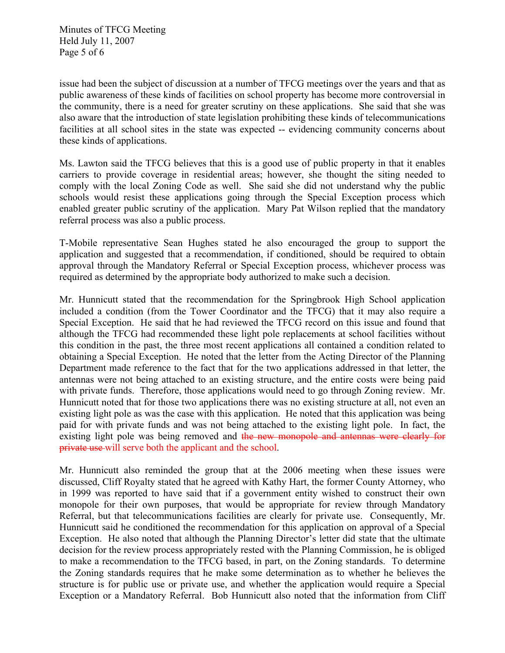Minutes of TFCG Meeting Held July 11, 2007 Page 5 of 6

issue had been the subject of discussion at a number of TFCG meetings over the years and that as public awareness of these kinds of facilities on school property has become more controversial in the community, there is a need for greater scrutiny on these applications. She said that she was also aware that the introduction of state legislation prohibiting these kinds of telecommunications facilities at all school sites in the state was expected -- evidencing community concerns about these kinds of applications.

Ms. Lawton said the TFCG believes that this is a good use of public property in that it enables carriers to provide coverage in residential areas; however, she thought the siting needed to comply with the local Zoning Code as well. She said she did not understand why the public schools would resist these applications going through the Special Exception process which enabled greater public scrutiny of the application. Mary Pat Wilson replied that the mandatory referral process was also a public process.

T-Mobile representative Sean Hughes stated he also encouraged the group to support the application and suggested that a recommendation, if conditioned, should be required to obtain approval through the Mandatory Referral or Special Exception process, whichever process was required as determined by the appropriate body authorized to make such a decision.

Mr. Hunnicutt stated that the recommendation for the Springbrook High School application included a condition (from the Tower Coordinator and the TFCG) that it may also require a Special Exception. He said that he had reviewed the TFCG record on this issue and found that although the TFCG had recommended these light pole replacements at school facilities without this condition in the past, the three most recent applications all contained a condition related to obtaining a Special Exception. He noted that the letter from the Acting Director of the Planning Department made reference to the fact that for the two applications addressed in that letter, the antennas were not being attached to an existing structure, and the entire costs were being paid with private funds. Therefore, those applications would need to go through Zoning review. Mr. Hunnicutt noted that for those two applications there was no existing structure at all, not even an existing light pole as was the case with this application. He noted that this application was being paid for with private funds and was not being attached to the existing light pole. In fact, the existing light pole was being removed and the new monopole and antennas were clearly for private use will serve both the applicant and the school.

Mr. Hunnicutt also reminded the group that at the 2006 meeting when these issues were discussed, Cliff Royalty stated that he agreed with Kathy Hart, the former County Attorney, who in 1999 was reported to have said that if a government entity wished to construct their own monopole for their own purposes, that would be appropriate for review through Mandatory Referral, but that telecommunications facilities are clearly for private use. Consequently, Mr. Hunnicutt said he conditioned the recommendation for this application on approval of a Special Exception. He also noted that although the Planning Director's letter did state that the ultimate decision for the review process appropriately rested with the Planning Commission, he is obliged to make a recommendation to the TFCG based, in part, on the Zoning standards. To determine the Zoning standards requires that he make some determination as to whether he believes the structure is for public use or private use, and whether the application would require a Special Exception or a Mandatory Referral. Bob Hunnicutt also noted that the information from Cliff